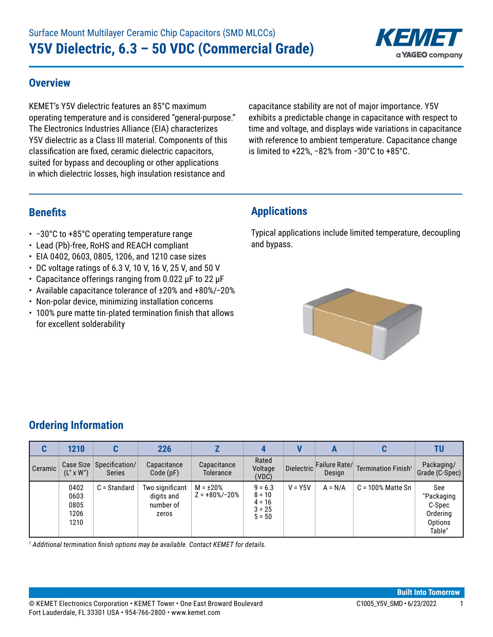

#### **Overview**

KEMET's Y5V dielectric features an 85°C maximum operating temperature and is considered "general-purpose." The Electronics Industries Alliance (EIA) characterizes Y5V dielectric as a Class III material. Components of this classification are fixed, ceramic dielectric capacitors, suited for bypass and decoupling or other applications in which dielectric losses, high insulation resistance and

capacitance stability are not of major importance. Y5V exhibits a predictable change in capacitance with respect to time and voltage, and displays wide variations in capacitance with reference to ambient temperature. Capacitance change is limited to +22%, −82% from −30°C to +85°C.

## **Benefits**

- • −30°C to +85°C operating temperature range
- Lead (Pb)-free, RoHS and REACH compliant
- EIA 0402, 0603, 0805, 1206, and 1210 case sizes
- $\cdot$  DC voltage ratings of 6.3 V, 10 V, 16 V, 25 V, and 50 V
- Capacitance offerings ranging from 0.022 μF to 22 μF
- • Available capacitance tolerance of ±20% and +80%/−20%
- Non-polar device, minimizing installation concerns
- 100% pure matte tin-plated termination finish that allows for excellent solderability

### **Applications**

Typical applications include limited temperature, decoupling and bypass.



## **Ordering Information**

| C       | 1210                                 |                                           | <b>226</b>                                          |                                      |                                                           |                   | A                       |                                 |                                                              |
|---------|--------------------------------------|-------------------------------------------|-----------------------------------------------------|--------------------------------------|-----------------------------------------------------------|-------------------|-------------------------|---------------------------------|--------------------------------------------------------------|
| Ceramic | $(L'' \times W'')$                   | Case Size Specification/<br><b>Series</b> | Capacitance<br>Code(pF)                             | Capacitance<br>Tolerance             | Rated<br>Voltage<br>(VDC)                                 | <b>Dielectric</b> | Failure Rate/<br>Design | Termination Finish <sup>1</sup> | Packaging/<br>Grade (C-Spec)                                 |
|         | 0402<br>0603<br>0805<br>1206<br>1210 | C = Standard                              | Two significant<br>digits and<br>number of<br>zeros | $M = \pm 20\%$<br>$Z = +80\%/ -20\%$ | $9 = 6.3$<br>$8 = 10$<br>$4 = 16$<br>$3 = 25$<br>$5 = 50$ | $V = Y5V$         | $A = N/A$               | $C = 100\%$ Matte Sn            | See<br>"Packaging<br>C-Spec<br>Ordering<br>Options<br>Table" |

*1 Additional termination finish options may be available. Contact KEMET for details.*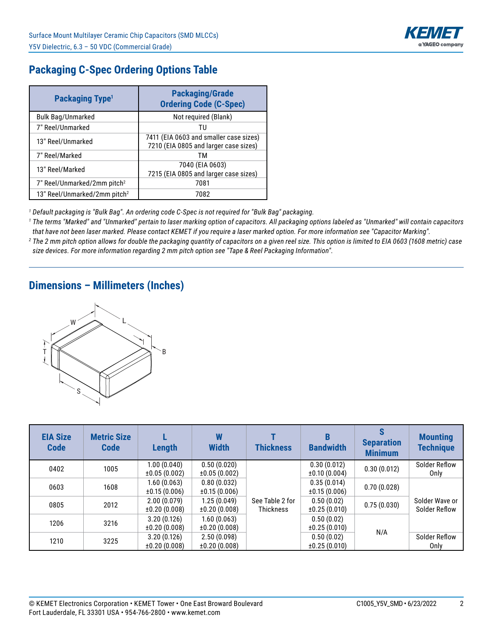

## **Packaging C-Spec Ordering Options Table**

| <b>Packaging Type<sup>1</sup></b>        | <b>Packaging/Grade</b><br><b>Ordering Code (C-Spec)</b>                         |
|------------------------------------------|---------------------------------------------------------------------------------|
| <b>Bulk Bag/Unmarked</b>                 | Not required (Blank)                                                            |
| 7" Reel/Unmarked                         | τu                                                                              |
| 13" Reel/Unmarked                        | 7411 (EIA 0603 and smaller case sizes)<br>7210 (EIA 0805 and larger case sizes) |
| 7" Reel/Marked                           | тм                                                                              |
| 13" Reel/Marked                          | 7040 (EIA 0603)<br>7215 (EIA 0805 and larger case sizes)                        |
| 7" Reel/Unmarked/2mm pitch <sup>2</sup>  | 7081                                                                            |
| 13" Reel/Unmarked/2mm pitch <sup>2</sup> | 7082                                                                            |

*1 Default packaging is "Bulk Bag". An ordering code C-Spec is not required for "Bulk Bag" packaging.*

*1 The terms "Marked" and "Unmarked" pertain to laser marking option of capacitors. All packaging options labeled as "Unmarked" will contain capacitors that have not been laser marked. Please contact KEMET if you require a laser marked option. For more information see "Capacitor Marking".*

*2 The 2 mm pitch option allows for double the packaging quantity of capacitors on a given reel size. This option is limited to EIA 0603 (1608 metric) case size devices. For more information regarding 2 mm pitch option see "Tape & Reel Packaging Information".*

### **Dimensions – Millimeters (Inches)**



| <b>EIA Size</b><br><b>Code</b> | <b>Metric Size</b><br><b>Code</b> | Length                           | W<br><b>Width</b>                | <b>Thickness</b>                    | <b>Bandwidth</b>            | <b>Separation</b><br><b>Minimum</b> | <b>Mounting</b><br><b>Technique</b> |
|--------------------------------|-----------------------------------|----------------------------------|----------------------------------|-------------------------------------|-----------------------------|-------------------------------------|-------------------------------------|
| 0402                           | 1005                              | 1.00(0.040)<br>±0.05(0.002)      | 0.50(0.020)<br>±0.05(0.002)      |                                     | 0.30(0.012)<br>±0.10(0.004) | 0.30(0.012)                         | Solder Reflow<br>Only               |
| 0603                           | 1608                              | 1.60(0.063)<br>$\pm 0.15(0.006)$ | 0.80(0.032)<br>$\pm 0.15(0.006)$ |                                     | 0.35(0.014)<br>±0.15(0.006) | 0.70(0.028)                         |                                     |
| 0805                           | 2012                              | 2.00(0.079)<br>±0.20(0.008)      | 1.25(0.049)<br>±0.20(0.008)      | See Table 2 for<br><b>Thickness</b> | 0.50(0.02)<br>±0.25(0.010)  | 0.75(0.030)                         | Solder Wave or<br>Solder Reflow     |
| 1206                           | 3216                              | 3.20(0.126)<br>±0.20(0.008)      | 1.60(0.063)<br>±0.20(0.008)      |                                     | 0.50(0.02)<br>±0.25(0.010)  | N/A                                 |                                     |
| 1210                           | 3225                              | 3.20(0.126)<br>±0.20(0.008)      | 2.50(0.098)<br>±0.20(0.008)      |                                     | 0.50(0.02)<br>±0.25(0.010)  |                                     | Solder Reflow<br>Only               |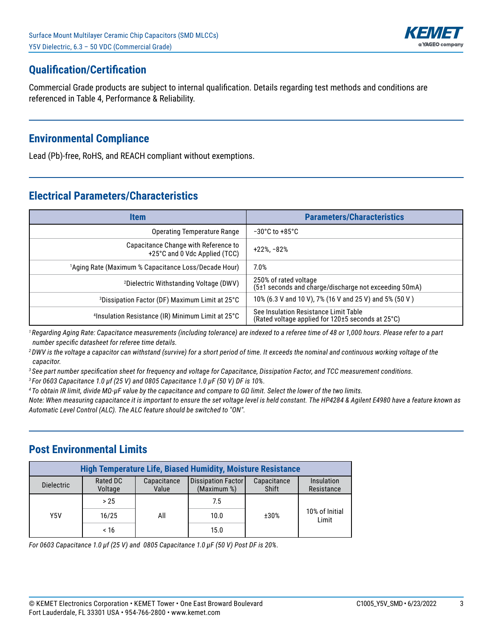

## **Qualification/Certification**

Commercial Grade products are subject to internal qualification. Details regarding test methods and conditions are referenced in Table 4, Performance & Reliability.

## **Environmental Compliance**

Lead (Pb)-free, RoHS, and REACH compliant without exemptions.

## **Electrical Parameters/Characteristics**

| <b>Item</b>                                                           | <b>Parameters/Characteristics</b>                                                          |
|-----------------------------------------------------------------------|--------------------------------------------------------------------------------------------|
| Operating Temperature Range                                           | $-30^{\circ}$ C to $+85^{\circ}$ C                                                         |
| Capacitance Change with Reference to<br>+25°C and 0 Vdc Applied (TCC) | $+22\%$ , $-82\%$                                                                          |
| <sup>1</sup> Aging Rate (Maximum % Capacitance Loss/Decade Hour)      | 7.0%                                                                                       |
| <sup>2</sup> Dielectric Withstanding Voltage (DWV)                    | 250% of rated voltage<br>(5±1 seconds and charge/discharge not exceeding 50mA)             |
| <sup>3</sup> Dissipation Factor (DF) Maximum Limit at 25°C            | 10% (6.3 V and 10 V), 7% (16 V and 25 V) and 5% (50 V)                                     |
| <sup>4</sup> Insulation Resistance (IR) Minimum Limit at 25°C         | See Insulation Resistance Limit Table<br>(Rated voltage applied for 120±5 seconds at 25°C) |

*<sup>1</sup>Regarding Aging Rate: Capacitance measurements (including tolerance) are indexed to a referee time of 48 or 1,000 hours. Please refer to a part number specific datasheet for referee time details.*

*<sup>2</sup>DWV is the voltage a capacitor can withstand (survive) for a short period of time. It exceeds the nominal and continuous working voltage of the capacitor.*

*3 See part number specification sheet for frequency and voltage for Capacitance, Dissipation Factor, and TCC measurement conditions.*

*3 For 0603 Capacitance 1.0 µf (25 V) and 0805 Capacitance 1.0 µF (50 V) DF is 10%.*

*4 To obtain IR limit, divide MΩ-µF value by the capacitance and compare to GΩ limit. Select the lower of the two limits.*

*Note: When measuring capacitance it is important to ensure the set voltage level is held constant. The HP4284 & Agilent E4980 have a feature known as Automatic Level Control (ALC). The ALC feature should be switched to "ON".*

## **Post Environmental Limits**

|                   | <b>High Temperature Life, Biased Humidity, Moisture Resistance</b> |                      |                                   |                      |                          |  |  |  |  |  |
|-------------------|--------------------------------------------------------------------|----------------------|-----------------------------------|----------------------|--------------------------|--|--|--|--|--|
| <b>Dielectric</b> | Rated DC<br>Voltage                                                | Capacitance<br>Value | Dissipation Factor<br>(Maximum %) | Capacitance<br>Shift | Insulation<br>Resistance |  |  |  |  |  |
|                   | > 25                                                               |                      | 7.5                               |                      |                          |  |  |  |  |  |
| Y5V               | 16/25                                                              | All                  | 10.0                              | ±30%                 | 10% of Initial<br>Limit  |  |  |  |  |  |
|                   | ~16                                                                |                      | 15.0                              |                      |                          |  |  |  |  |  |

*For 0603 Capacitance 1.0 µf (25 V) and 0805 Capacitance 1.0 µF (50 V) Post DF is 20%.*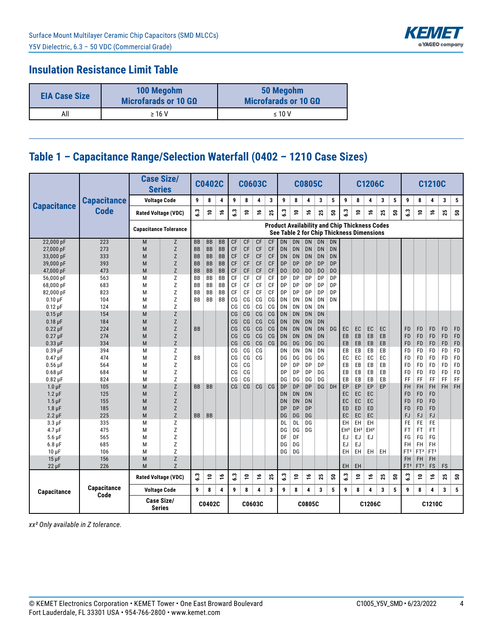

### **Insulation Resistance Limit Table**

| <b>EIA Case Size</b> | 100 Megohm<br>Microfarads or 10 G $\Omega$ | 50 Megohm<br>Microfarads or 10 G $\Omega$ |
|----------------------|--------------------------------------------|-------------------------------------------|
| All                  | $\geq 16$ V                                | $\leq 10$ V                               |

# **Table 1 – Capacitance Range/Selection Waterfall (0402 – 1210 Case Sizes)**

|                           |                     | <b>Series</b>                | <b>Case Size/</b> |                        | <b>C0402C</b>   |                        |                        | <b>C0603C</b>   |                        |                        |                             |                             | <b>C0805C</b>                             |                             |                      |                 |                 | C1206C          |                                                      |   |                              |                              | <b>C1210C</b>   |                        |           |
|---------------------------|---------------------|------------------------------|-------------------|------------------------|-----------------|------------------------|------------------------|-----------------|------------------------|------------------------|-----------------------------|-----------------------------|-------------------------------------------|-----------------------------|----------------------|-----------------|-----------------|-----------------|------------------------------------------------------|---|------------------------------|------------------------------|-----------------|------------------------|-----------|
| <b>Capacitance</b>        | <b>Capacitance</b>  | <b>Voltage Code</b>          |                   | 9                      | 8               | 4                      | 9                      | 8               | 4                      | 3                      | 9                           | 8                           | 4                                         | 3                           | 5                    | 9               | 8               | 4               | 3                                                    | 5 | 9                            | 8                            | 4               | 3                      | 5         |
|                           | <b>Code</b>         | <b>Rated Voltage (VDC)</b>   |                   | ္မ                     | <u>۽</u>        | ې                      | 3                      | <u>۽</u>        | ې                      | 25                     | ွိ                          | ş                           | ٩                                         | 25                          | ន                    | 3               | ٥,              | ۽               | ង                                                    | ន | 3                            | پ                            | ٩               | 25                     | ន         |
|                           |                     | <b>Capacitance Tolerance</b> |                   |                        |                 |                        |                        |                 |                        |                        |                             |                             | See Table 2 for Chip Thickness Dimensions |                             |                      |                 |                 |                 | <b>Product Availability and Chip Thickness Codes</b> |   |                              |                              |                 |                        |           |
| 22,000 pF                 | 223                 | M                            | Z                 | <b>BB</b>              | <b>BB</b>       | <b>BB</b>              | CF                     | CF              | <b>CF</b>              | C F                    | <b>DN</b>                   | <b>DN</b>                   | <b>DN</b>                                 | <b>DN</b>                   | <b>DN</b>            |                 |                 |                 |                                                      |   |                              |                              |                 |                        |           |
| 27,000 pF                 | 273                 | M                            | Z                 | <b>BB</b>              | <b>BB</b>       | <b>BB</b>              | <b>CF</b>              | CF              | <b>CF</b>              | <b>CF</b>              | <b>DN</b>                   | <b>DN</b>                   | <b>DN</b>                                 | <b>DN</b>                   | DN                   |                 |                 |                 |                                                      |   |                              |                              |                 |                        |           |
| 33,000 pF                 | 333                 | M                            | Z                 | <b>BB</b>              | <b>BB</b>       | BB                     | <b>CF</b>              | CF              | <b>CF</b>              | <b>CF</b>              | <b>DN</b>                   | <b>DN</b>                   | <b>DN</b>                                 | <b>DN</b>                   | DN                   |                 |                 |                 |                                                      |   |                              |                              |                 |                        |           |
| 39,000 pF                 | 393<br>473          | M<br>M                       | Z<br>Z            | <b>BB</b><br><b>BB</b> | BB<br><b>BB</b> | <b>BB</b><br><b>BB</b> | <b>CF</b><br><b>CF</b> | <b>CF</b><br>CF | <b>CF</b><br><b>CF</b> | <b>CF</b><br><b>CF</b> | <b>DP</b><br>D <sub>0</sub> | <b>DP</b><br>D <sub>0</sub> | <b>DP</b><br>D <sub>0</sub>               | <b>DP</b><br>D <sub>0</sub> | DP<br>D <sub>0</sub> |                 |                 |                 |                                                      |   |                              |                              |                 |                        |           |
| 47,000 pF<br>56,000 pF    | 563                 | M                            | Z                 | <b>BB</b>              | <b>BB</b>       | <b>BB</b>              | CF                     | CF              | CF                     | CF                     | DP                          | DP                          | DP                                        | DP                          | DP                   |                 |                 |                 |                                                      |   |                              |                              |                 |                        |           |
| 68,000 pF                 | 683                 | M                            | Z                 | BB                     | <b>BB</b>       | BB                     | CF                     | CF              | CF                     | CF                     | DP                          | DP                          | DP                                        | DP                          | DP                   |                 |                 |                 |                                                      |   |                              |                              |                 |                        |           |
| 82,000 pF                 | 823                 | M                            | Z                 | <b>BB</b>              | BB              | BB                     | CF                     | CF              | CF                     | CF                     | DP                          | DP                          | DP                                        | DP                          | DP                   |                 |                 |                 |                                                      |   |                              |                              |                 |                        |           |
| $0.10 \mu F$              | 104                 | M                            | Z                 | <b>BB</b>              | <b>BB</b>       | <b>BB</b>              | CG                     | CG              | CG                     | CG                     | DN                          | DN                          | DN                                        | DN                          | DN                   |                 |                 |                 |                                                      |   |                              |                              |                 |                        |           |
| $0.12 \mu F$              | 124                 | M                            | Z                 |                        |                 |                        | CG                     | CG              | CG                     | CG                     | DN                          | DN                          | DN                                        | DN                          |                      |                 |                 |                 |                                                      |   |                              |                              |                 |                        |           |
| $0.15 \,\mathrm{\upmu F}$ | 154                 | M                            | Z                 |                        |                 |                        | CG                     | CG              | CG                     | CG                     | <b>DN</b>                   | <b>DN</b>                   | <b>DN</b>                                 | <b>DN</b>                   |                      |                 |                 |                 |                                                      |   |                              |                              |                 |                        |           |
| $0.18$ µF                 | 184                 | M                            | Z                 |                        |                 |                        | C <sub>G</sub>         | CG              | CG                     | CG                     | <b>DN</b>                   | <b>DN</b>                   | <b>DN</b>                                 | DN                          |                      |                 |                 |                 |                                                      |   |                              |                              |                 |                        |           |
| $0.22 \mu F$              | 224                 | M                            | Z                 | <b>BB</b>              |                 |                        | CG                     | CG              | CG                     | C <sub>G</sub>         | <b>DN</b>                   | <b>DN</b>                   | <b>DN</b>                                 | DN                          | DG                   | EC              | EC              | EC              | EC                                                   |   | <b>FD</b>                    | <b>FD</b>                    | FD              | <b>FD</b>              | FD        |
| $0.27 \,\mathrm{\upmu F}$ | 274                 | M                            | Z                 |                        |                 |                        | CG                     | CG              | CG                     | CG                     | <b>DN</b>                   | <b>DN</b>                   | <b>DN</b>                                 | DN                          |                      | EB              | EB              | EB              | EB                                                   |   | <b>FD</b>                    | <b>FD</b>                    | <b>FD</b>       | <b>FD</b>              | FD        |
| $0.33 \mu F$              | 334                 | M                            | Z                 |                        |                 |                        | C <sub>G</sub>         | CG              | CG                     | C <sub>G</sub>         | DG                          | <b>DG</b>                   | DG                                        | <b>DG</b>                   |                      | EB              | EB              | EB              | EB                                                   |   | <b>FD</b>                    | <b>FD</b>                    | <b>FD</b>       | <b>FD</b>              | FD        |
| $0.39$ $\mu$ F            | 394                 | М                            | Z                 |                        |                 |                        | CG                     | CG              | CG                     |                        | DN                          | DN                          | DN                                        | DN                          |                      | EB              | EB              | EB              | EB                                                   |   | FD                           | <b>FD</b>                    | FD              | <b>FD</b>              | FD        |
| $0.47$ $\mu$ F            | 474                 | М                            | Z<br>Z            | <b>BB</b>              |                 |                        | CG<br>CG               | CG<br>CG        | CG                     |                        | DG<br><b>DP</b>             | DG<br>DP                    | DG<br>DP                                  | DG<br>DP                    |                      | EC<br>EB        | EC<br>EB        | EC<br>EB        | EC<br>EB                                             |   | FD                           | FD<br>FD                     | FD<br>FD        | <b>FD</b><br><b>FD</b> | FD<br>FD  |
| $0.56$ µF<br>$0.68$ µF    | 564<br>684          | M<br>M                       | Z                 |                        |                 |                        | CG                     | CG              |                        |                        | <b>DP</b>                   | DP                          | DP                                        | DG                          |                      | EB              | EB              | EB              | EB                                                   |   | FD<br><b>FD</b>              | <b>FD</b>                    | <b>FD</b>       | <b>FD</b>              | FD        |
| $0.82 \,\mathrm{\upmu F}$ | 824                 | M                            | Z                 |                        |                 |                        | CG                     | CG              |                        |                        | DG                          | DG                          | DG                                        | DG                          |                      | EB              | EB              | EB              | EB                                                   |   | FF                           | FF                           | FF              | FF                     | FF        |
| $1.0 \mu F$               | 105                 | M                            | Z                 | <b>BB</b>              | <b>BB</b>       |                        | C <sub>G</sub>         | CG              | CG                     | CG                     | DP                          | <b>DP</b>                   | <b>DP</b>                                 | <b>DG</b>                   | DH                   | EP              | EP              | EP              | EP                                                   |   | <b>FH</b>                    | FH                           | FH              | <b>FH</b>              | <b>FH</b> |
| $1.2 \mu F$               | 125                 | M                            | Z                 |                        |                 |                        |                        |                 |                        |                        | <b>DN</b>                   | <b>DN</b>                   | <b>DN</b>                                 |                             |                      | EC              | EC              | EC              |                                                      |   | <b>FD</b>                    | <b>FD</b>                    | <b>FD</b>       |                        |           |
| $1.5 \,\mu F$             | 155                 | M                            | Z                 |                        |                 |                        |                        |                 |                        |                        | <b>DN</b>                   | <b>DN</b>                   | DN                                        |                             |                      | EC              | EC              | EC              |                                                      |   | <b>FD</b>                    | <b>FD</b>                    | <b>FD</b>       |                        |           |
| $1.8 \mu F$               | 185                 | M                            | Z                 |                        |                 |                        |                        |                 |                        |                        | <b>DP</b>                   | <b>DP</b>                   | <b>DP</b>                                 |                             |                      | ED              | ED              | ED              |                                                      |   | <b>FD</b>                    | <b>FD</b>                    | <b>FD</b>       |                        |           |
| $2.2 \mu F$               | 225                 | M                            | Z                 | <b>BB</b>              | <b>BB</b>       |                        |                        |                 |                        |                        | DG                          | <b>DG</b>                   | DG                                        |                             |                      | EC              | EC              | EC              |                                                      |   | <b>FJ</b>                    | <b>FJ</b>                    | FJ              |                        |           |
| $3.3 \mu F$               | 335                 | M                            | Z                 |                        |                 |                        |                        |                 |                        |                        | DL                          | DL                          | DG                                        |                             |                      | EH              | EH              | EH              |                                                      |   | <b>FE</b>                    | FE                           | FE              |                        |           |
| $4.7 \mu F$               | 475                 | M                            | Z                 |                        |                 |                        |                        |                 |                        |                        | DG                          | DG.                         | DG                                        |                             |                      | EH <sup>2</sup> | EH <sup>2</sup> | EH <sup>2</sup> |                                                      |   | FT                           | FT                           | FT              |                        |           |
| $5.6 \,\mu F$             | 565                 | M                            | Z                 |                        |                 |                        |                        |                 |                        |                        | DF                          | DF                          |                                           |                             |                      | EJ              | EJ              | EJ              |                                                      |   | FG                           | FG                           | FG              |                        |           |
| $6.8 \mu F$               | 685                 | M                            | Z                 |                        |                 |                        |                        |                 |                        |                        | DG                          | DG                          |                                           |                             |                      | EJ              | EJ              |                 |                                                      |   | <b>FH</b>                    | FH.                          | FH              |                        |           |
| $10 \mu F$                | 106                 | м                            | Z                 |                        |                 |                        |                        |                 |                        |                        | DG                          | DG                          |                                           |                             |                      | EH              | EH              | <b>EH</b>       | EH                                                   |   | FT <sup>2</sup>              | FT <sup>2</sup>              | FT <sup>2</sup> |                        |           |
| $15 \mu F$                | 156                 | M<br>M                       | Z<br>Z            |                        |                 |                        |                        |                 |                        |                        |                             |                             |                                           |                             |                      | EH              | EH              |                 |                                                      |   | <b>FH</b><br>FT <sup>2</sup> | <b>FH</b><br>FT <sup>2</sup> | FH<br>FS        | FS                     |           |
| $22 \mu F$                | 226                 |                              |                   |                        |                 |                        |                        |                 |                        |                        |                             |                             |                                           |                             |                      |                 |                 |                 |                                                      |   |                              |                              |                 |                        |           |
|                           |                     | <b>Rated Voltage (VDC)</b>   |                   | ة.<br>6                | <u>۽</u>        | ٩                      | $\ddot{3}$             | ₽               | ۽                      | 25                     | S<br>نۍ                     | 5                           | ٩                                         | 25                          | ន                    | ه.<br>ف         | <u>۽</u>        | ۽               | 25                                                   | ន | $\ddot{\bm{3}}$              | <u>۽</u>                     | ٩               | 25                     | ន         |
| Capacitance               | Capacitance<br>Code | <b>Voltage Code</b>          |                   | 9                      | 8               | 4                      | 9                      | 8               | 4                      | 3                      | 9                           | 8                           | 4                                         | 3                           | 5                    | 9               | 8               | 4               | 3                                                    | 5 | 9                            | 8                            | 4               | 3                      | 5         |
|                           |                     | Case Size/<br><b>Series</b>  |                   |                        | C0402C          |                        |                        | C0603C          |                        |                        |                             |                             | C0805C                                    |                             |                      |                 |                 | C1206C          |                                                      |   |                              |                              | C1210C          |                        |           |

*xx² Only available in Z tolerance.*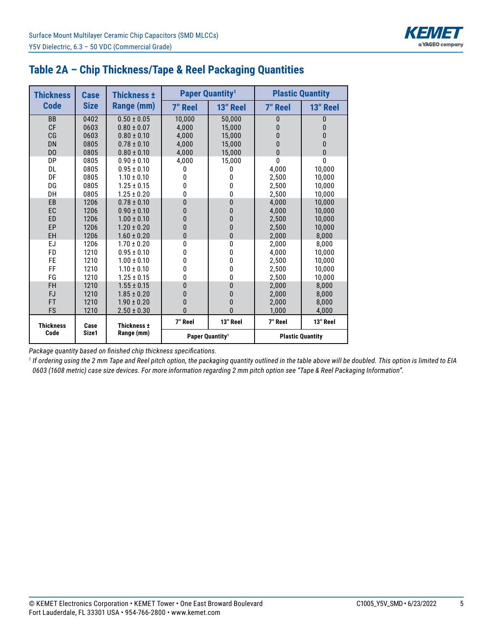

| <b>Thickness</b> | Case                | <b>Thickness ±</b> |                | <b>Paper Quantity<sup>1</sup></b> |                | <b>Plastic Quantity</b> |  |  |
|------------------|---------------------|--------------------|----------------|-----------------------------------|----------------|-------------------------|--|--|
| <b>Code</b>      | <b>Size</b>         | Range (mm)         | <b>7" Reel</b> | 13" Reel                          | <b>7" Reel</b> | 13" Reel                |  |  |
| <b>BB</b>        | 0402                | $0.50 \pm 0.05$    | 10,000         | 50,000                            | 0              | 0                       |  |  |
| CF               | 0603                | $0.80 \pm 0.07$    | 4,000          | 15,000                            | $\bf{0}$       | 0                       |  |  |
| CG               | 0603                | $0.80 \pm 0.10$    | 4.000          | 15.000                            | $\bf{0}$       | $\Omega$                |  |  |
| <b>DN</b>        | 0805                | $0.78 \pm 0.10$    | 4,000          | 15,000                            | $\mathbf{0}$   | 0                       |  |  |
| D <sub>0</sub>   | 0805                | $0.80 \pm 0.10$    | 4,000          | 15,000                            | $\mathbf{0}$   | $\mathbf{0}$            |  |  |
| DP               | 0805                | $0.90 \pm 0.10$    | 4,000          | 15,000                            | $\Omega$       | 0                       |  |  |
| DL               | 0805                | $0.95 \pm 0.10$    | 0              | 0                                 | 4,000          | 10,000                  |  |  |
| DF               | 0805                | $1.10 \pm 0.10$    | 0              | 0                                 | 2.500          | 10.000                  |  |  |
| DG               | 0805                | $1.25 \pm 0.15$    | 0              | 0                                 | 2,500          | 10,000                  |  |  |
| DH               | 0805                | $1.25 \pm 0.20$    | 0              | 0                                 | 2,500          | 10,000                  |  |  |
| EB               | 1206                | $0.78 \pm 0.10$    | $\bf{0}$       | 0                                 | 4.000          | 10,000                  |  |  |
| EC               | 1206                | $0.90 \pm 0.10$    | $\mathbf{0}$   | 0                                 | 4.000          | 10.000                  |  |  |
| ED               | 1206                | $1.00 \pm 0.10$    | 0              | 0                                 | 2.500          | 10,000                  |  |  |
| EP               | 1206                | $1.20 \pm 0.20$    | $\mathbf{0}$   | 0                                 | 2,500          | 10,000                  |  |  |
| EH               | 1206                | $1.60 \pm 0.20$    | $\mathbf{0}$   | 0                                 | 2,000          | 8,000                   |  |  |
| EJ               | 1206                | $1.70 \pm 0.20$    | 0              | 0                                 | 2.000          | 8.000                   |  |  |
| <b>FD</b>        | 1210                | $0.95 \pm 0.10$    | 0              | 0                                 | 4.000          | 10.000                  |  |  |
| FE               | 1210                | $1.00 \pm 0.10$    | 0              | 0                                 | 2,500          | 10,000                  |  |  |
| FF               | 1210                | $1.10 \pm 0.10$    | 0              | 0                                 | 2,500          | 10,000                  |  |  |
| FG               | 1210                | $1.25 \pm 0.15$    | 0              | 0                                 | 2,500          | 10,000                  |  |  |
| <b>FH</b>        | 1210                | $1.55 \pm 0.15$    | 0              | 0                                 | 2.000          | 8.000                   |  |  |
| <b>FJ</b>        | 1210                | $1.85 \pm 0.20$    | 0              | 0                                 | 2,000          | 8,000                   |  |  |
| FT               | 1210                | $1.90 \pm 0.20$    | $\mathbf{0}$   | 0                                 | 2,000          | 8,000                   |  |  |
| <b>FS</b>        | 1210                | $2.50 \pm 0.30$    | $\overline{0}$ | $\Omega$                          | 1,000          | 4,000                   |  |  |
| <b>Thickness</b> | Thickness ±<br>Case | 7" Reel            | 13" Reel       | 7" Reel<br>13" Reel               |                |                         |  |  |
| Code             | Size1               | Range (mm)         |                | Paper Quantity <sup>1</sup>       |                | <b>Plastic Quantity</b> |  |  |

## **Table 2A – Chip Thickness/Tape & Reel Packaging Quantities**

*Package quantity based on finished chip thickness specifications.*

*1 If ordering using the 2 mm Tape and Reel pitch option, the packaging quantity outlined in the table above will be doubled. This option is limited to EIA 0603 (1608 metric) case size devices. For more information regarding 2 mm pitch option see "Tape & Reel Packaging Information".*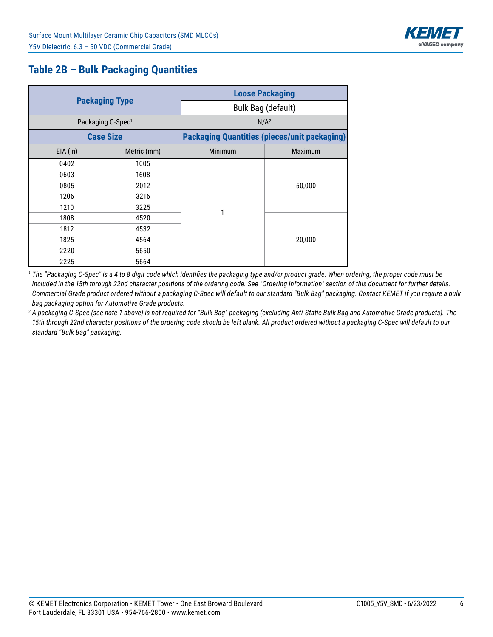

## **Table 2B – Bulk Packaging Quantities**

|            |                               | <b>Loose Packaging</b> |                                                     |  |  |  |  |  |
|------------|-------------------------------|------------------------|-----------------------------------------------------|--|--|--|--|--|
|            | <b>Packaging Type</b>         |                        | Bulk Bag (default)                                  |  |  |  |  |  |
|            | Packaging C-Spec <sup>1</sup> |                        | N/A <sup>2</sup>                                    |  |  |  |  |  |
|            | <b>Case Size</b>              |                        | <b>Packaging Quantities (pieces/unit packaging)</b> |  |  |  |  |  |
| $EIA$ (in) | Metric (mm)                   | Minimum                | <b>Maximum</b>                                      |  |  |  |  |  |
| 0402       | 1005                          |                        |                                                     |  |  |  |  |  |
| 0603       | 1608                          |                        | 50,000                                              |  |  |  |  |  |
| 0805       | 2012                          |                        |                                                     |  |  |  |  |  |
| 1206       | 3216                          |                        |                                                     |  |  |  |  |  |
| 1210       | 3225                          | 1                      |                                                     |  |  |  |  |  |
| 1808       | 4520                          |                        |                                                     |  |  |  |  |  |
| 1812       | 4532                          |                        |                                                     |  |  |  |  |  |
| 1825       | 4564                          |                        | 20,000                                              |  |  |  |  |  |
| 2220       | 5650                          |                        |                                                     |  |  |  |  |  |
| 2225       | 5664                          |                        |                                                     |  |  |  |  |  |

*1 The "Packaging C-Spec" is a 4 to 8 digit code which identifies the packaging type and/or product grade. When ordering, the proper code must be included in the 15th through 22nd character positions of the ordering code. See "Ordering Information" section of this document for further details. Commercial Grade product ordered without a packaging C-Spec will default to our standard "Bulk Bag" packaging. Contact KEMET if you require a bulk bag packaging option for Automotive Grade products.*

*2 A packaging C-Spec (see note 1 above) is not required for "Bulk Bag" packaging (excluding Anti-Static Bulk Bag and Automotive Grade products). The 15th through 22nd character positions of the ordering code should be left blank. All product ordered without a packaging C-Spec will default to our standard "Bulk Bag" packaging.*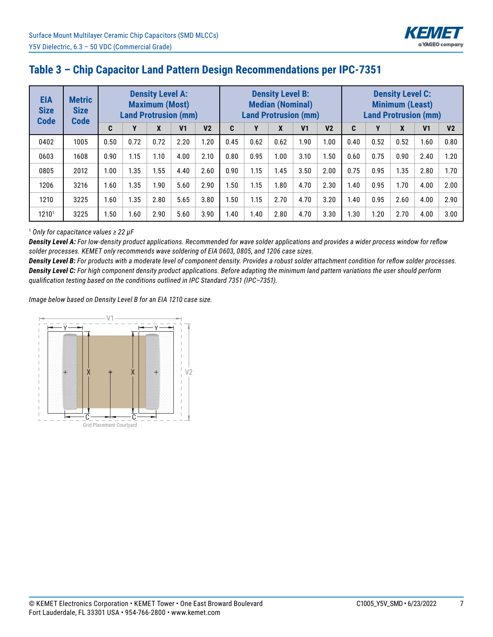

## **Table 3 – Chip Capacitor Land Pattern Design Recommendations per IPC-7351**

| <b>EIA</b><br><b>Size</b><br><b>Code</b> | <b>Metric</b><br><b>Size</b><br><b>Code</b> | <b>Density Level A:</b><br><b>Maximum (Most)</b><br><b>Land Protrusion (mm)</b> |      |      |                |                |      |      | <b>Density Level B:</b><br><b>Median (Nominal)</b> | <b>Land Protrusion (mm)</b> |                | <b>Density Level C:</b><br><b>Minimum (Least)</b><br><b>Land Protrusion (mm)</b> |      |      |                |                |
|------------------------------------------|---------------------------------------------|---------------------------------------------------------------------------------|------|------|----------------|----------------|------|------|----------------------------------------------------|-----------------------------|----------------|----------------------------------------------------------------------------------|------|------|----------------|----------------|
|                                          |                                             | C                                                                               | Υ    | X    | V <sub>1</sub> | V <sub>2</sub> | C    | Y    | X                                                  | V <sub>1</sub>              | V <sub>2</sub> | C                                                                                | Υ    | X    | V <sub>1</sub> | V <sub>2</sub> |
| 0402                                     | 1005                                        | 0.50                                                                            | 0.72 | 0.72 | 2.20           | 1.20           | 0.45 | 0.62 | 0.62                                               | 1.90                        | 1.00           | 0.40                                                                             | 0.52 | 0.52 | 1.60           | 0.80           |
| 0603                                     | 1608                                        | 0.90                                                                            | 1.15 | 1.10 | 4.00           | 2.10           | 0.80 | 0.95 | 1.00                                               | 3.10                        | 1.50           | 0.60                                                                             | 0.75 | 0.90 | 2.40           | 1.20           |
| 0805                                     | 2012                                        | 1.00                                                                            | 1.35 | 1.55 | 4.40           | 2.60           | 0.90 | 1.15 | 1.45                                               | 3.50                        | 2.00           | 0.75                                                                             | 0.95 | 1.35 | 2.80           | 1.70           |
| 1206                                     | 3216                                        | 1.60                                                                            | 1.35 | 1.90 | 5.60           | 2.90           | i.50 | 1.15 | 1.80                                               | 4.70                        | 2.30           | 1.40                                                                             | 0.95 | 1.70 | 4.00           | 2.00           |
| 1210                                     | 3225                                        | 1.60                                                                            | 1.35 | 2.80 | 5.65           | 3.80           | 1.50 | 1.15 | 2.70                                               | 4.70                        | 3.20           | 1.40                                                                             | 0.95 | 2.60 | 4.00           | 2.90           |
| 1210 <sup>1</sup>                        | 3225                                        | 1.50                                                                            | 1.60 | 2.90 | 5.60           | 3.90           | 1.40 | 1.40 | 2.80                                               | 4.70                        | 3.30           | 1.30                                                                             | 1.20 | 2.70 | 4.00           | 3.00           |

#### <sup>1</sup> *Only for capacitance values ≥ 22 µF*

*Density Level A: For low-density product applications. Recommended for wave solder applications and provides a wider process window for reflow solder processes. KEMET only recommends wave soldering of EIA 0603, 0805, and 1206 case sizes.*

*Density Level B: For products with a moderate level of component density. Provides a robust solder attachment condition for reflow solder processes. Density Level C: For high component density product applications. Before adapting the minimum land pattern variations the user should perform qualification testing based on the conditions outlined in IPC Standard 7351 (IPC–7351).*

*Image below based on Density Level B for an EIA 1210 case size.*

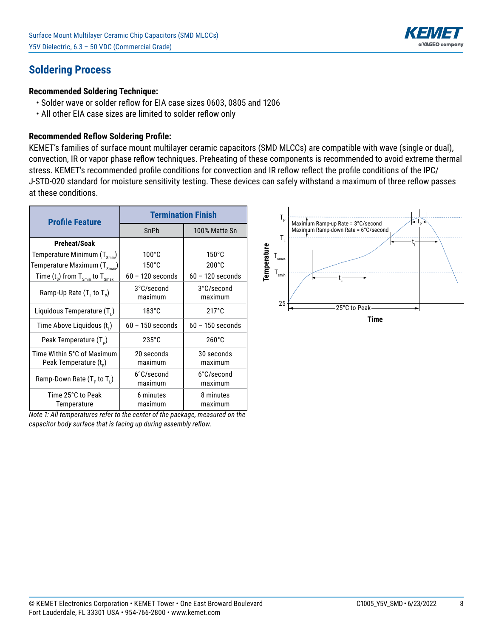

## **Soldering Process**

#### **Recommended Soldering Technique:**

- Solder wave or solder reflow for EIA case sizes 0603, 0805 and 1206
- All other EIA case sizes are limited to solder reflow only

#### **Recommended Reflow Soldering Profile:**

KEMET's families of surface mount multilayer ceramic capacitors (SMD MLCCs) are compatible with wave (single or dual), convection, IR or vapor phase reflow techniques. Preheating of these components is recommended to avoid extreme thermal stress. KEMET's recommended profile conditions for convection and IR reflow reflect the profile conditions of the IPC/ J-STD-020 standard for moisture sensitivity testing. These devices can safely withstand a maximum of three reflow passes at these conditions.

| <b>Profile Feature</b>                                           | <b>Termination Finish</b> |                       |
|------------------------------------------------------------------|---------------------------|-----------------------|
|                                                                  | SnPb                      | 100% Matte Sn         |
| <b>Preheat/Soak</b>                                              |                           |                       |
| Temperature Minimum $(T_{\rm smi})$                              | $100^{\circ}$ C           | $150^{\circ}$ C       |
| Temperature Maximum $(T_{\text{Smax}})$                          | $150^{\circ}$ C           | $200^{\circ}$ C       |
| Time $(t_s)$ from $T_{smin}$ to $T_{smax}$                       | $60 - 120$ seconds        | $60 - 120$ seconds    |
| Ramp-Up Rate $(T, to T_p)$                                       | 3°C/second<br>maximum     | 3°C/second<br>maximum |
| Liquidous Temperature (T.)                                       | $183^\circ C$             | $217^{\circ}$ C       |
| Time Above Liquidous (t.)                                        | $60 - 150$ seconds        | $60 - 150$ seconds    |
| Peak Temperature (T <sub>e</sub> )                               | $235^{\circ}$ C           | $260^{\circ}$ C       |
| Time Within 5°C of Maximum<br>Peak Temperature (t <sub>D</sub> ) | 20 seconds<br>maximum     | 30 seconds<br>maximum |
| Ramp-Down Rate $(T_p$ to $T_1$ )                                 | 6°C/second<br>maximum     | 6°C/second<br>maximum |
| Time 25°C to Peak<br>Temperature                                 | 6 minutes<br>maximum      | 8 minutes<br>maximum  |

*Note 1: All temperatures refer to the center of the package, measured on the capacitor body surface that is facing up during assembly reflow.*

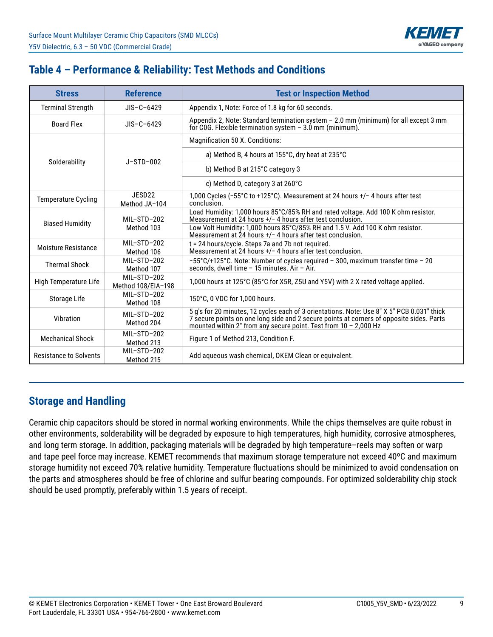

## **Table 4 – Performance & Reliability: Test Methods and Conditions**

| <b>Stress</b>                                        | <b>Reference</b>                    | <b>Test or Inspection Method</b>                                                                                                                                                                                                                             |  |  |  |  |
|------------------------------------------------------|-------------------------------------|--------------------------------------------------------------------------------------------------------------------------------------------------------------------------------------------------------------------------------------------------------------|--|--|--|--|
| <b>Terminal Strength</b>                             | $JIS-C-6429$                        | Appendix 1, Note: Force of 1.8 kg for 60 seconds.                                                                                                                                                                                                            |  |  |  |  |
| <b>Board Flex</b>                                    | $JIS-C-6429$                        | Appendix 2, Note: Standard termination system - 2.0 mm (minimum) for all except 3 mm<br>for C0G. Flexible termination system $-3.0$ mm (minimum).                                                                                                            |  |  |  |  |
|                                                      |                                     | Magnification 50 X. Conditions:                                                                                                                                                                                                                              |  |  |  |  |
| Solderability                                        | $J-STD-002$                         | a) Method B, 4 hours at 155°C, dry heat at 235°C                                                                                                                                                                                                             |  |  |  |  |
|                                                      |                                     | b) Method B at 215°C category 3                                                                                                                                                                                                                              |  |  |  |  |
|                                                      |                                     | c) Method D, category 3 at 260°C                                                                                                                                                                                                                             |  |  |  |  |
| <b>Temperature Cycling</b>                           | JESD <sub>22</sub><br>Method JA-104 | 1,000 Cycles (-55°C to +125°C). Measurement at 24 hours +/- 4 hours after test<br>conclusion.                                                                                                                                                                |  |  |  |  |
|                                                      | MIL-STD-202                         | Load Humidity: 1,000 hours 85°C/85% RH and rated voltage. Add 100 K ohm resistor.<br>Measurement at 24 hours $+/-$ 4 hours after test conclusion.                                                                                                            |  |  |  |  |
| <b>Biased Humidity</b>                               | Method 103                          | Low Volt Humidity: 1,000 hours 85°C/85% RH and 1.5 V. Add 100 K ohm resistor.<br>Measurement at 24 hours $+/-$ 4 hours after test conclusion.                                                                                                                |  |  |  |  |
| Moisture Resistance                                  | $MI - STD - 202$<br>Method 106      | t = 24 hours/cycle. Steps 7a and 7b not required.<br>Measurement at 24 hours +/- 4 hours after test conclusion.                                                                                                                                              |  |  |  |  |
| <b>Thermal Shock</b>                                 | MIL-STD-202<br>Method 107           | $-55^{\circ}$ C/+125 $^{\circ}$ C. Note: Number of cycles required - 300, maximum transfer time - 20<br>seconds, dwell time - 15 minutes. Air - Air.                                                                                                         |  |  |  |  |
| High Temperature Life                                | MIL-STD-202<br>Method 108/EIA-198   | 1,000 hours at 125°C (85°C for X5R, Z5U and Y5V) with 2 X rated voltage applied.                                                                                                                                                                             |  |  |  |  |
| Storage Life                                         | MIL-STD-202<br>Method 108           | 150°C, 0 VDC for 1,000 hours.                                                                                                                                                                                                                                |  |  |  |  |
| $MI - STD - 202$<br>Vibration<br>Method 204          |                                     | 5 q's for 20 minutes, 12 cycles each of 3 orientations. Note: Use 8" X 5" PCB 0.031" thick<br>7 secure points on one long side and 2 secure points at corners of opposite sides. Parts<br>mounted within 2" from any secure point. Test from $10 - 2,000$ Hz |  |  |  |  |
| MIL-STD-202<br><b>Mechanical Shock</b><br>Method 213 |                                     | Figure 1 of Method 213, Condition F.                                                                                                                                                                                                                         |  |  |  |  |
| <b>Resistance to Solvents</b>                        | MIL-STD-202<br>Method 215           | Add aqueous wash chemical, OKEM Clean or equivalent.                                                                                                                                                                                                         |  |  |  |  |

### **Storage and Handling**

Ceramic chip capacitors should be stored in normal working environments. While the chips themselves are quite robust in other environments, solderability will be degraded by exposure to high temperatures, high humidity, corrosive atmospheres, and long term storage. In addition, packaging materials will be degraded by high temperature–reels may soften or warp and tape peel force may increase. KEMET recommends that maximum storage temperature not exceed 40ºC and maximum storage humidity not exceed 70% relative humidity. Temperature fluctuations should be minimized to avoid condensation on the parts and atmospheres should be free of chlorine and sulfur bearing compounds. For optimized solderability chip stock should be used promptly, preferably within 1.5 years of receipt.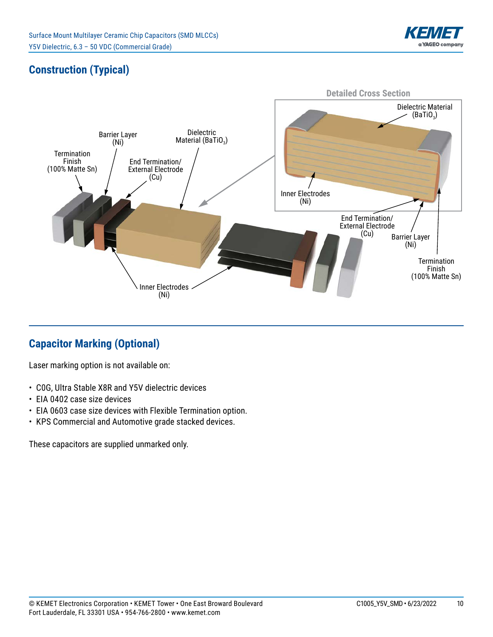

# **Construction (Typical)**



## **Capacitor Marking (Optional)**

Laser marking option is not available on:

- • C0G, Ultra Stable X8R and Y5V dielectric devices
- EIA 0402 case size devices
- EIA 0603 case size devices with Flexible Termination option.
- KPS Commercial and Automotive grade stacked devices.

These capacitors are supplied unmarked only.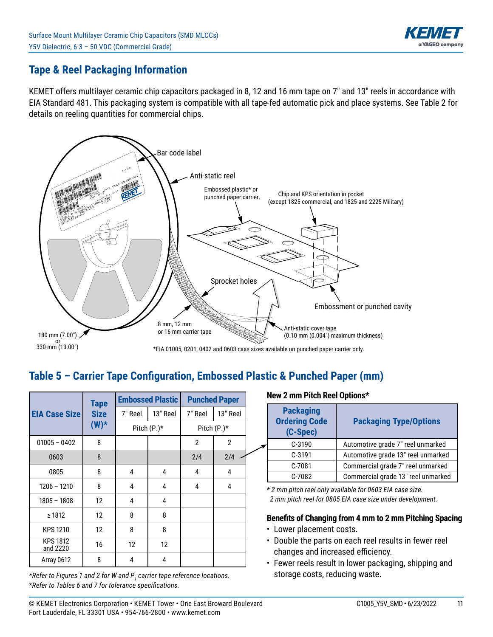

## **Tape & Reel Packaging Information**

KEMET offers multilayer ceramic chip capacitors packaged in 8, 12 and 16 mm tape on 7" and 13" reels in accordance with EIA Standard 481. This packaging system is compatible with all tape-fed automatic pick and place systems. See Table 2 for details on reeling quantities for commercial chips.



## Table 5 - Carrier Tape Configuration, Embossed Plastic & Punched Paper (mm)

|                             | <b>Tape</b>            | <b>Embossed Plastic</b> |          | <b>Punched Paper</b> |              |  |
|-----------------------------|------------------------|-------------------------|----------|----------------------|--------------|--|
| <b>EIA Case Size</b>        | <b>Size</b><br>$(W)^*$ | 7" Reel                 | 13" Reel | 7" Reel              | 13" Reel     |  |
|                             |                        | Pitch $(P_1)^*$         |          | Pitch $(P_1)^*$      |              |  |
| $01005 - 0402$              | 8                      |                         |          | $\overline{2}$       | $\mathbf{2}$ |  |
| 0603                        | 8                      |                         |          | 2/4                  | 2/4          |  |
| 0805                        | 8                      | 4                       | 4        | 4                    | 4            |  |
| $1206 - 1210$               | 8                      | 4                       | 4        | 4                    | 4            |  |
| $1805 - 1808$               | 12                     | 4                       | 4        |                      |              |  |
| $\geq 1812$                 | 12                     | 8                       | 8        |                      |              |  |
| <b>KPS 1210</b>             | 12                     | 8                       | 8        |                      |              |  |
| <b>KPS 1812</b><br>and 2220 | 16                     | 12                      | 12       |                      |              |  |
| Array 0612                  | 8                      | 4                       | 4        |                      |              |  |

*\*Refer to Figures 1 and 2 for W and P<sup>1</sup> carrier tape reference locations. \*Refer to Tables 6 and 7 for tolerance specifi cations.*

#### **New 2 mm Pitch Reel Options\***

| <b>Packaging</b><br><b>Ordering Code</b><br>(C-Spec) | <b>Packaging Type/Options</b>      |
|------------------------------------------------------|------------------------------------|
| $C-3190$                                             | Automotive grade 7" reel unmarked  |
| $C-3191$                                             | Automotive grade 13" reel unmarked |
| C-7081                                               | Commercial grade 7" reel unmarked  |
| C-7082                                               | Commercial grade 13" reel unmarked |

*\* 2 mm pitch reel only available for 0603 EIA case size. 2 mm pitch reel for 0805 EIA case size under development.*

#### **Benefits of Changing from 4 mm to 2 mm Pitching Spacing**

- Lower placement costs.
- Double the parts on each reel results in fewer reel changes and increased efficiency.
- Fewer reels result in lower packaging, shipping and storage costs, reducing waste.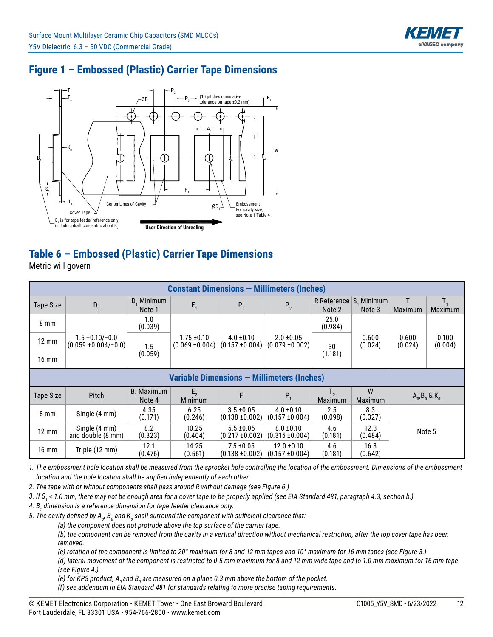

# **Figure 1 – Embossed (Plastic) Carrier Tape Dimensions**



# **Table 6 – Embossed (Plastic) Carrier Tape Dimensions**

Metric will govern

| <b>Constant Dimensions - Millimeters (Inches)</b> |                                               |                      |                                        |                                       |                                        |                                  |                     |                       |                  |
|---------------------------------------------------|-----------------------------------------------|----------------------|----------------------------------------|---------------------------------------|----------------------------------------|----------------------------------|---------------------|-----------------------|------------------|
| <b>Tape Size</b>                                  | $D_0$                                         | D, Minimum<br>Note 1 | $E_{1}$                                | $P_0$                                 | P <sub>2</sub>                         | R Reference S, Minimum<br>Note 2 | Note 3              | Maximum               | Maximum          |
| $8 \text{ mm}$                                    |                                               | 1.0<br>(0.039)       |                                        |                                       |                                        | 25.0<br>(0.984)                  |                     |                       |                  |
| $12 \text{ mm}$                                   | $1.5 + 0.10 / -0.0$<br>$(0.059 + 0.004/-0.0)$ | 1.5                  | $1.75 \pm 0.10$<br>$(0.069 \pm 0.004)$ | $4.0 \pm 0.10$<br>$(0.157 \pm 0.004)$ | $2.0 \pm 0.05$<br>$(0.079 \pm 0.002)$  | 30                               | 0.600<br>(0.024)    | 0.600<br>(0.024)      | 0.100<br>(0.004) |
| $16 \text{ mm}$                                   |                                               | (0.059)              |                                        |                                       |                                        | (1.181)                          |                     |                       |                  |
| Variable Dimensions - Millimeters (Inches)        |                                               |                      |                                        |                                       |                                        |                                  |                     |                       |                  |
| <b>Tape Size</b>                                  | Pitch                                         | B, Maximum<br>Note 4 | $E_{2}$<br>Minimum                     | F                                     | $P_{1}$                                | Maximum                          | W<br><b>Maximum</b> | $A_0$ , $B_0$ & $K_0$ |                  |
| $8 \text{ mm}$                                    | Single (4 mm)                                 | 4.35<br>(0.171)      | 6.25<br>(0.246)                        | $3.5 \pm 0.05$<br>$(0.138 \pm 0.002)$ | $4.0 \pm 0.10$<br>$(0.157 \pm 0.004)$  | 2.5<br>(0.098)                   | 8.3<br>(0.327)      |                       |                  |
| $12 \text{ mm}$                                   | Single (4 mm)<br>and double (8 mm)            | 8.2<br>(0.323)       | 10.25<br>(0.404)                       | $5.5 \pm 0.05$<br>$(0.217 \pm 0.002)$ | $8.0 \pm 0.10$<br>$(0.315 \pm 0.004)$  | 4.6<br>(0.181)                   | 12.3<br>(0.484)     | Note 5                |                  |
| $16 \text{ mm}$                                   | Triple (12 mm)                                | 12.1<br>(0.476)      | 14.25<br>(0.561)                       | $7.5 \pm 0.05$<br>$(0.138 \pm 0.002)$ | $12.0 \pm 0.10$<br>$(0.157 \pm 0.004)$ | 4.6<br>(0.181)                   | 16.3<br>(0.642)     |                       |                  |

*1. The embossment hole location shall be measured from the sprocket hole controlling the location of the embossment. Dimensions of the embossment location and the hole location shall be applied independently of each other.*

*2. The tape with or without components shall pass around R without damage (see Figure 6.)*

*3. If S<sup>1</sup> < 1.0 mm, there may not be enough area for a cover tape to be properly applied (see EIA Standard 481, paragraph 4.3, section b.)*

*4. B<sup>1</sup> dimension is a reference dimension for tape feeder clearance only.*

5. The cavity defined by A<sub>o</sub>, B<sub>o</sub> and K<sub>o</sub> shall surround the component with sufficient clearance that:

 *(a) the component does not protrude above the top surface of the carrier tape.*

 *(b) the component can be removed from the cavity in a vertical direction without mechanical restriction, after the top cover tape has been removed.*

 *(c) rotation of the component is limited to 20° maximum for 8 and 12 mm tapes and 10° maximum for 16 mm tapes (see Figure 3.)*

 *(d) lateral movement of the component is restricted to 0.5 mm maximum for 8 and 12 mm wide tape and to 1.0 mm maximum for 16 mm tape (see Figure 4.)*

(e) for KPS product, A<sub>0</sub> and B<sub>0</sub> are measured on a plane 0.3 mm above the bottom of the pocket.

 *(f) see addendum in EIA Standard 481 for standards relating to more precise taping requirements.*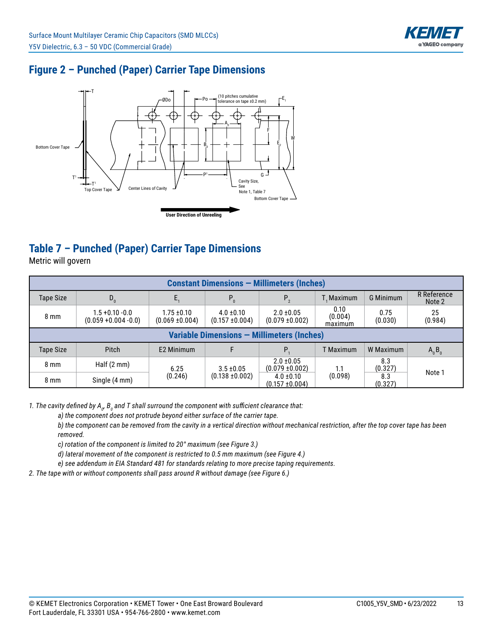

## **Figure 2 – Punched (Paper) Carrier Tape Dimensions**



# **Table 7 – Punched (Paper) Carrier Tape Dimensions**

Metric will govern

| <b>Constant Dimensions - Millimeters (Inches)</b> |                                                   |                                        |                                       |                                       |                            |                 |                              |  |  |
|---------------------------------------------------|---------------------------------------------------|----------------------------------------|---------------------------------------|---------------------------------------|----------------------------|-----------------|------------------------------|--|--|
| <b>Tape Size</b>                                  | $D_0$                                             |                                        | $P_{0}$                               | P <sub>2</sub>                        | T. Maximum                 | G Minimum       | <b>R</b> Reference<br>Note 2 |  |  |
| $8 \text{ mm}$                                    | $1.5 + 0.10 - 0.0$<br>$(0.059 + 0.004 - 0.0)$     | $1.75 \pm 0.10$<br>$(0.069 \pm 0.004)$ | $4.0 \pm 0.10$<br>$(0.157 \pm 0.004)$ | $2.0 \pm 0.05$<br>$(0.079 \pm 0.002)$ | 0.10<br>(0.004)<br>maximum | 0.75<br>(0.030) | 25<br>(0.984)                |  |  |
|                                                   | <b>Variable Dimensions - Millimeters (Inches)</b> |                                        |                                       |                                       |                            |                 |                              |  |  |
| <b>Tape Size</b>                                  | Pitch                                             | E2 Minimum                             |                                       | P.                                    | T Maximum                  | W Maximum       | $A_0B_0$                     |  |  |
| $8 \text{ mm}$                                    | Half $(2 \text{ mm})$                             | 6.25                                   | $3.5 \pm 0.05$                        | $2.0 \pm 0.05$<br>$(0.079 \pm 0.002)$ | 1.1                        | 8.3<br>(0.327)  | Note 1                       |  |  |
| 8 mm                                              | Single (4 mm)                                     | (0.246)                                | $(0.138 \pm 0.002)$                   | $4.0 \pm 0.10$<br>$(0.157 \pm 0.004)$ | (0.098)                    | 8.3<br>(0.327)  |                              |  |  |

1. The cavity defined by A<sub>o</sub>, B<sub>o</sub> and T shall surround the component with sufficient clearance that:

 *a) the component does not protrude beyond either surface of the carrier tape.*

 *b) the component can be removed from the cavity in a vertical direction without mechanical restriction, after the top cover tape has been removed.*

 *c) rotation of the component is limited to 20° maximum (see Figure 3.)*

 *d) lateral movement of the component is restricted to 0.5 mm maximum (see Figure 4.)*

 *e) see addendum in EIA Standard 481 for standards relating to more precise taping requirements.*

*2. The tape with or without components shall pass around R without damage (see Figure 6.)*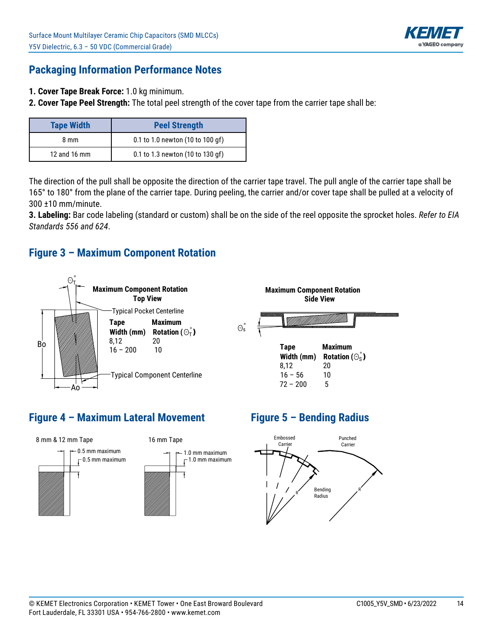

### **Packaging Information Performance Notes**

- **1. Cover Tape Break Force:** 1.0 kg minimum.
- **2. Cover Tape Peel Strength:** The total peel strength of the cover tape from the carrier tape shall be:

| <b>Tape Width</b> | <b>Peel Strength</b>             |  |  |
|-------------------|----------------------------------|--|--|
| 8 mm              | 0.1 to 1.0 newton (10 to 100 gf) |  |  |
| 12 and 16 mm      | 0.1 to 1.3 newton (10 to 130 gf) |  |  |

The direction of the pull shall be opposite the direction of the carrier tape travel. The pull angle of the carrier tape shall be 165° to 180° from the plane of the carrier tape. During peeling, the carrier and/or cover tape shall be pulled at a velocity of 300 ±10 mm/minute.

**3. Labeling:** Bar code labeling (standard or custom) shall be on the side of the reel opposite the sprocket holes. Refer to EIA *Standards 556 and 624*.

#### **Figure 3 – Maximum Component Rotation**



## **Figure 4 – Maximum Lateral Movement**



## **Figure 5 – Bending Radius**

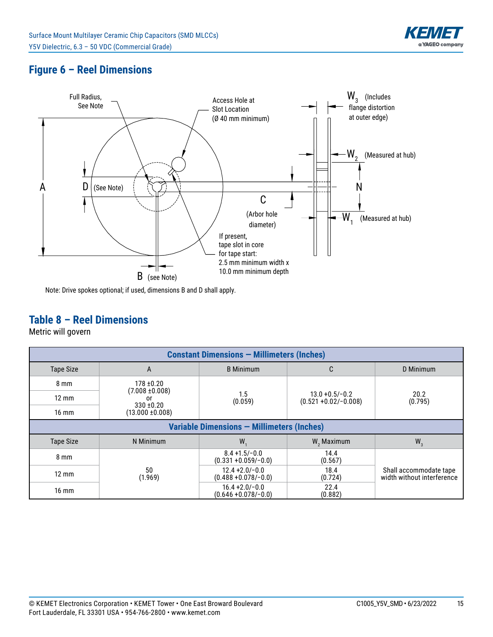

## **Figure 6 – Reel Dimensions**



Note: Drive spokes optional; if used, dimensions B and D shall apply.

## **Table 8 – Reel Dimensions**

Metric will govern

| <b>Constant Dimensions - Millimeters (Inches)</b> |                                            |                                              |                                               |                                                      |  |  |  |  |
|---------------------------------------------------|--------------------------------------------|----------------------------------------------|-----------------------------------------------|------------------------------------------------------|--|--|--|--|
| <b>Tape Size</b>                                  | A                                          | <b>B</b> Minimum                             | C                                             | D Minimum                                            |  |  |  |  |
| $8 \text{ mm}$                                    | $178 + 0.20$                               |                                              |                                               |                                                      |  |  |  |  |
| $12 \text{ mm}$                                   | $(7.008 \pm 0.008)$<br>0r                  | 1.5<br>(0.059)                               | $13.0 + 0.5/-0.2$<br>$(0.521 + 0.02/- 0.008)$ | 20.2<br>(0.795)                                      |  |  |  |  |
| $16 \text{ mm}$                                   | $330 + 0.20$<br>$(13.000 \pm 0.008)$       |                                              |                                               |                                                      |  |  |  |  |
|                                                   | Variable Dimensions - Millimeters (Inches) |                                              |                                               |                                                      |  |  |  |  |
| <b>Tape Size</b>                                  | N Minimum                                  | W.                                           | W <sub>2</sub> Maximum                        | $W_3$                                                |  |  |  |  |
| $8 \text{ mm}$                                    |                                            | $8.4 + 1.5/-0.0$<br>$(0.331 + 0.059/-0.0)$   | 14.4<br>(0.567)                               |                                                      |  |  |  |  |
| $12 \text{ mm}$                                   | 50<br>(1.969)                              | $12.4 + 2.0 - 0.0$<br>$(0.488 + 0.078/-0.0)$ | 18.4<br>(0.724)                               | Shall accommodate tape<br>width without interference |  |  |  |  |
| $16 \text{ mm}$                                   |                                            | $16.4 + 2.0/-0.0$<br>$(0.646 + 0.078/-0.0)$  | 22.4<br>(0.882)                               |                                                      |  |  |  |  |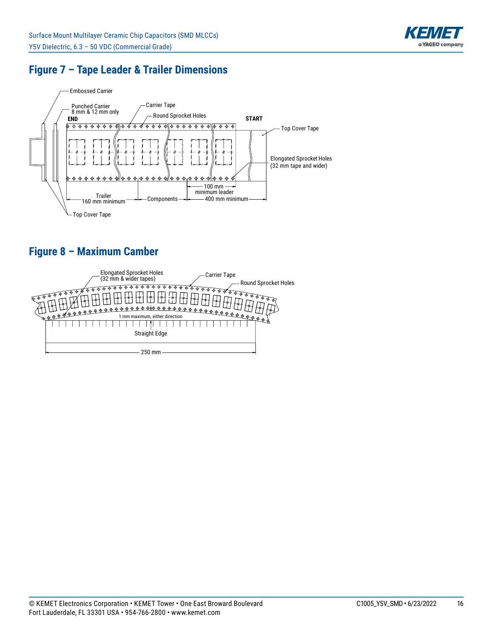

## **Figure 7 – Tape Leader & Trailer Dimensions**



# **Figure 8 – Maximum Camber**